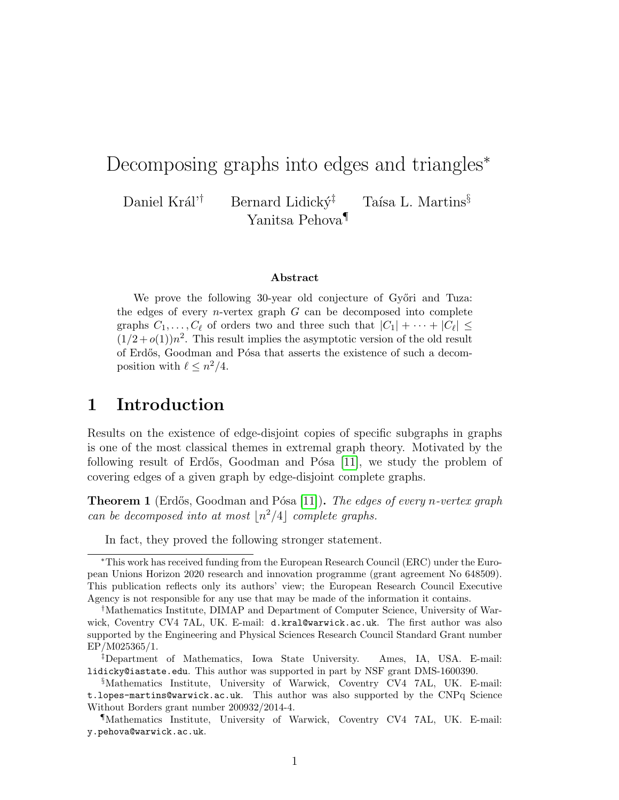# Decomposing graphs into edges and triangles<sup>\*</sup>

Daniel Král'<sup>†</sup> Bernard Lidický<sup>‡</sup> Taísa L. Martins<sup>§</sup> Yanitsa Pehova¶

#### Abstract

We prove the following 30-year old conjecture of Győri and Tuza: the edges of every *n*-vertex graph  $G$  can be decomposed into complete graphs  $C_1, \ldots, C_\ell$  of orders two and three such that  $|C_1| + \cdots + |C_\ell| \leq$  $(1/2+o(1))n^2$ . This result implies the asymptotic version of the old result of Erdős, Goodman and Pósa that asserts the existence of such a decomposition with  $\ell \leq n^2/4$ .

## 1 Introduction

Results on the existence of edge-disjoint copies of specific subgraphs in graphs is one of the most classical themes in extremal graph theory. Motivated by the following result of Erdős, Goodman and Pósa  $[11]$ , we study the problem of covering edges of a given graph by edge-disjoint complete graphs.

<span id="page-0-0"></span>**Theorem 1** (Erdős, Goodman and Pósa [\[11\]](#page-7-0)). The edges of every n-vertex graph can be decomposed into at most  $\lfloor n^2/4\rfloor$  complete graphs.

In fact, they proved the following stronger statement.

<sup>∗</sup>This work has received funding from the European Research Council (ERC) under the European Unions Horizon 2020 research and innovation programme (grant agreement No 648509). This publication reflects only its authors' view; the European Research Council Executive Agency is not responsible for any use that may be made of the information it contains.

<sup>†</sup>Mathematics Institute, DIMAP and Department of Computer Science, University of Warwick, Coventry CV4 7AL, UK. E-mail: d.kral@warwick.ac.uk. The first author was also supported by the Engineering and Physical Sciences Research Council Standard Grant number EP/M025365/1.

<sup>‡</sup>Department of Mathematics, Iowa State University. Ames, IA, USA. E-mail: lidicky@iastate.edu. This author was supported in part by NSF grant DMS-1600390.

<sup>§</sup>Mathematics Institute, University of Warwick, Coventry CV4 7AL, UK. E-mail: t.lopes-martins@warwick.ac.uk. This author was also supported by the CNPq Science Without Borders grant number 200932/2014-4.

<sup>¶</sup>Mathematics Institute, University of Warwick, Coventry CV4 7AL, UK. E-mail: y.pehova@warwick.ac.uk.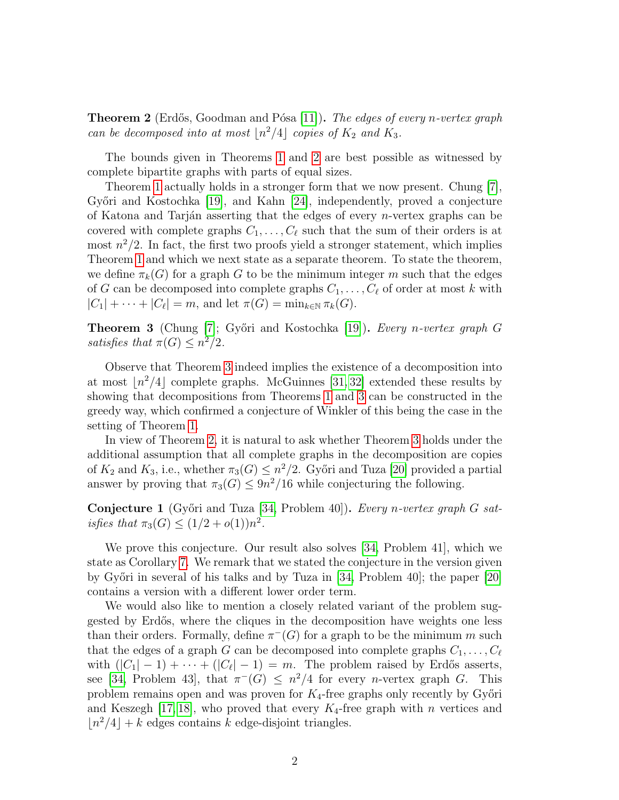<span id="page-1-0"></span>**Theorem 2** (Erdős, Goodman and Pósa [\[11\]](#page-7-0)). The edges of every n-vertex graph can be decomposed into at most  $\lfloor n^2/4 \rfloor$  copies of  $K_2$  and  $K_3$ .

The bounds given in Theorems [1](#page-0-0) and [2](#page-1-0) are best possible as witnessed by complete bipartite graphs with parts of equal sizes.

Theorem [1](#page-0-0) actually holds in a stronger form that we now present. Chung [\[7\]](#page-7-1), Győri and Kostochka [\[19\]](#page-8-0), and Kahn [\[24\]](#page-8-1), independently, proved a conjecture of Katona and Tarján asserting that the edges of every *n*-vertex graphs can be covered with complete graphs  $C_1, \ldots, C_\ell$  such that the sum of their orders is at most  $n^2/2$ . In fact, the first two proofs yield a stronger statement, which implies Theorem [1](#page-0-0) and which we next state as a separate theorem. To state the theorem, we define  $\pi_k(G)$  for a graph G to be the minimum integer m such that the edges of G can be decomposed into complete graphs  $C_1, \ldots, C_\ell$  of order at most k with  $|C_1| + \cdots + |C_\ell| = m$ , and let  $\pi(G) = \min_{k \in \mathbb{N}} \pi_k(G)$ .

<span id="page-1-1"></span>**Theorem 3** (Chung [\[7\]](#page-7-1); Győri and Kostochka [\[19\]](#page-8-0)). Every n-vertex graph G satisfies that  $\pi(G) \leq n^2/2$ .

Observe that Theorem [3](#page-1-1) indeed implies the existence of a decomposition into at most  $\lfloor n^2/4 \rfloor$  complete graphs. McGuinnes [\[31,](#page-8-2) [32\]](#page-8-3) extended these results by showing that decompositions from Theorems [1](#page-0-0) and [3](#page-1-1) can be constructed in the greedy way, which confirmed a conjecture of Winkler of this being the case in the setting of Theorem [1.](#page-0-0)

In view of Theorem [2,](#page-1-0) it is natural to ask whether Theorem [3](#page-1-1) holds under the additional assumption that all complete graphs in the decomposition are copies of  $K_2$  and  $K_3$ , i.e., whether  $\pi_3(G) \leq n^2/2$ . Győri and Tuza [\[20\]](#page-8-4) provided a partial answer by proving that  $\pi_3(G) \leq 9n^2/16$  while conjecturing the following.

<span id="page-1-2"></span>**Conjecture 1** (Győri and Tuza [\[34,](#page-9-0) Problem 40]). Every n-vertex graph G satisfies that  $\pi_3(G) \le (1/2 + o(1))n^2$ .

We prove this conjecture. Our result also solves [\[34,](#page-9-0) Problem 41], which we state as Corollary [7.](#page-5-0) We remark that we stated the conjecture in the version given by Győri in several of his talks and by Tuza in [\[34,](#page-9-0) Problem 40]; the paper [\[20\]](#page-8-4) contains a version with a different lower order term.

We would also like to mention a closely related variant of the problem suggested by Erd˝os, where the cliques in the decomposition have weights one less than their orders. Formally, define  $\pi^{-}(G)$  for a graph to be the minimum m such that the edges of a graph G can be decomposed into complete graphs  $C_1, \ldots, C_\ell$ with  $(|C_1| - 1) + \cdots + (|C_{\ell}|-1) = m$ . The problem raised by Erdős asserts, see [\[34,](#page-9-0) Problem 43], that  $\pi^{-}(G) \leq n^2/4$  for every *n*-vertex graph G. This problem remains open and was proven for  $K_4$ -free graphs only recently by Győri and Keszegh [\[17,](#page-7-2) [18\]](#page-8-5), who proved that every  $K_4$ -free graph with n vertices and  $\lfloor n^2/4 \rfloor + k$  edges contains k edge-disjoint triangles.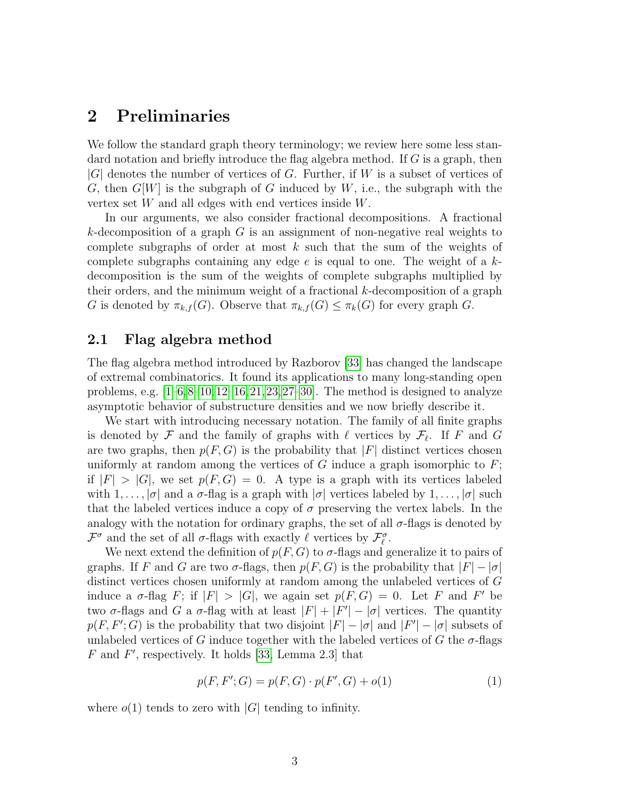## 2 Preliminaries

We follow the standard graph theory terminology; we review here some less standard notation and briefly introduce the flag algebra method. If G is a graph, then  $|G|$  denotes the number of vertices of G. Further, if W is a subset of vertices of G, then  $G[W]$  is the subgraph of G induced by W, i.e., the subgraph with the vertex set W and all edges with end vertices inside W.

In our arguments, we also consider fractional decompositions. A fractional k-decomposition of a graph  $G$  is an assignment of non-negative real weights to complete subgraphs of order at most  $k$  such that the sum of the weights of complete subgraphs containing any edge  $e$  is equal to one. The weight of a  $k$ decomposition is the sum of the weights of complete subgraphs multiplied by their orders, and the minimum weight of a fractional k-decomposition of a graph G is denoted by  $\pi_{k,f}(G)$ . Observe that  $\pi_{k,f}(G) \leq \pi_k(G)$  for every graph G.

### 2.1 Flag algebra method

The flag algebra method introduced by Razborov [\[33\]](#page-8-6) has changed the landscape of extremal combinatorics. It found its applications to many long-standing open problems, e.g.  $[1-6,8-10,12-16,21,23,27-30]$  $[1-6,8-10,12-16,21,23,27-30]$  $[1-6,8-10,12-16,21,23,27-30]$  $[1-6,8-10,12-16,21,23,27-30]$  $[1-6,8-10,12-16,21,23,27-30]$  $[1-6,8-10,12-16,21,23,27-30]$  $[1-6,8-10,12-16,21,23,27-30]$  $[1-6,8-10,12-16,21,23,27-30]$  $[1-6,8-10,12-16,21,23,27-30]$  $[1-6,8-10,12-16,21,23,27-30]$ . The method is designed to analyze asymptotic behavior of substructure densities and we now briefly describe it.

We start with introducing necessary notation. The family of all finite graphs is denoted by  $\mathcal F$  and the family of graphs with  $\ell$  vertices by  $\mathcal F_\ell$ . If F and G are two graphs, then  $p(F, G)$  is the probability that |F| distinct vertices chosen uniformly at random among the vertices of  $G$  induce a graph isomorphic to  $F$ ; if  $|F| > |G|$ , we set  $p(F, G) = 0$ . A type is a graph with its vertices labeled with  $1, \ldots, |\sigma|$  and a  $\sigma$ -flag is a graph with  $|\sigma|$  vertices labeled by  $1, \ldots, |\sigma|$  such that the labeled vertices induce a copy of  $\sigma$  preserving the vertex labels. In the analogy with the notation for ordinary graphs, the set of all  $\sigma$ -flags is denoted by  $\mathcal{F}^{\sigma}$  and the set of all  $\sigma$ -flags with exactly  $\ell$  vertices by  $\mathcal{F}_{\ell}^{\sigma}$ .

We next extend the definition of  $p(F, G)$  to  $\sigma$ -flags and generalize it to pairs of graphs. If F and G are two  $\sigma$ -flags, then  $p(F, G)$  is the probability that  $|F| - |\sigma|$ distinct vertices chosen uniformly at random among the unlabeled vertices of G induce a  $\sigma$ -flag F; if  $|F| > |G|$ , we again set  $p(F, G) = 0$ . Let F and F' be two  $\sigma$ -flags and G a  $\sigma$ -flag with at least  $|F| + |F'| - |\sigma|$  vertices. The quantity  $p(F, F'; G)$  is the probability that two disjoint  $|F| - |\sigma|$  and  $|F'| - |\sigma|$  subsets of unlabeled vertices of G induce together with the labeled vertices of G the  $\sigma$ -flags  $F$  and  $F'$ , respectively. It holds [\[33,](#page-8-6) Lemma 2.3] that

<span id="page-2-0"></span>
$$
p(F, F'; G) = p(F, G) \cdot p(F', G) + o(1)
$$
\n(1)

where  $o(1)$  tends to zero with  $|G|$  tending to infinity.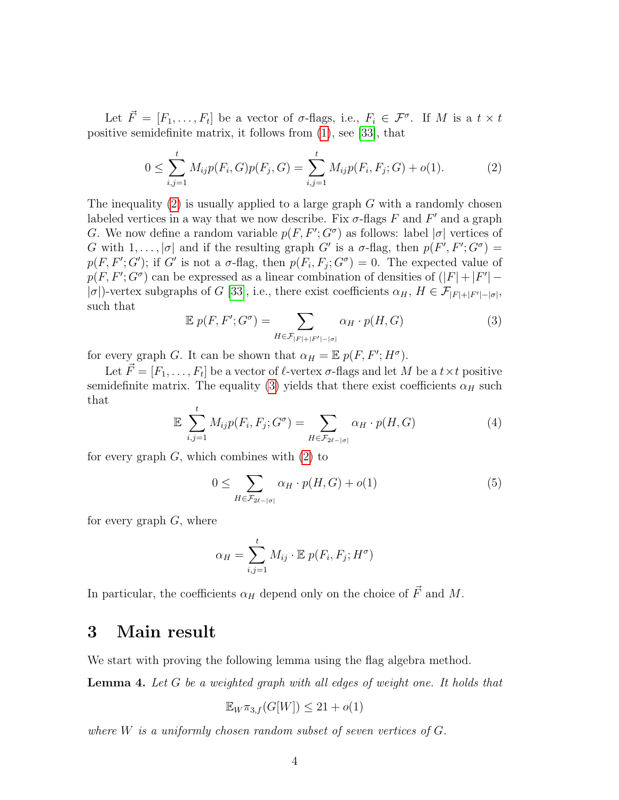Let  $\vec{F} = [F_1, \ldots, F_t]$  be a vector of  $\sigma$ -flags, i.e.,  $F_i \in \mathcal{F}^{\sigma}$ . If M is a  $t \times t$ positive semidefinite matrix, it follows from [\(1\)](#page-2-0), see [\[33\]](#page-8-6), that

<span id="page-3-0"></span>
$$
0 \le \sum_{i,j=1}^{t} M_{ij} p(F_i, G) p(F_j, G) = \sum_{i,j=1}^{t} M_{ij} p(F_i, F_j; G) + o(1).
$$
 (2)

The inequality  $(2)$  is usually applied to a large graph G with a randomly chosen labeled vertices in a way that we now describe. Fix  $\sigma$ -flags F and F' and a graph G. We now define a random variable  $p(F, F'; G^{\sigma})$  as follows: label  $|\sigma|$  vertices of G with  $1, \ldots, |\sigma|$  and if the resulting graph G' is a  $\sigma$ -flag, then  $p(F', F'; G^{\sigma}) =$  $p(F, F'; G')$ ; if G' is not a  $\sigma$ -flag, then  $p(F_i, F_j; G') = 0$ . The expected value of  $p(F, F'; G^{\sigma})$  can be expressed as a linear combination of densities of  $(|F| + |F'| -$ | $\sigma$ |)-vertex subgraphs of G [\[33\]](#page-8-6), i.e., there exist coefficients  $\alpha_H$ ,  $H \in \mathcal{F}_{|F|+|F'|-|\sigma|}$ , such that

<span id="page-3-1"></span>
$$
\mathbb{E}\;p(F,F';G^{\sigma}) = \sum_{H \in \mathcal{F}_{|F|+|F'|-|\sigma|}} \alpha_H \cdot p(H,G) \tag{3}
$$

for every graph G. It can be shown that  $\alpha_H = \mathbb{E} p(F, F'; H^{\sigma})$ .

Let  $\vec{F} = [F_1, \ldots, F_t]$  be a vector of  $\ell$ -vertex  $\sigma$ -flags and let M be a  $t \times t$  positive semidefinite matrix. The equality [\(3\)](#page-3-1) yields that there exist coefficients  $\alpha_H$  such that

$$
\mathbb{E} \sum_{i,j=1}^{t} M_{ij} p(F_i, F_j; G^{\sigma}) = \sum_{H \in \mathcal{F}_{2\ell - |\sigma|}} \alpha_H \cdot p(H, G) \tag{4}
$$

for every graph  $G$ , which combines with  $(2)$  to

<span id="page-3-2"></span>
$$
0 \leq \sum_{H \in \mathcal{F}_{2\ell - |\sigma|}} \alpha_H \cdot p(H, G) + o(1) \tag{5}
$$

for every graph  $G$ , where

$$
\alpha_H = \sum_{i,j=1}^t M_{ij} \cdot \mathbb{E} \ p(F_i, F_j; H^{\sigma})
$$

In particular, the coefficients  $\alpha_H$  depend only on the choice of  $\vec{F}$  and M.

## 3 Main result

We start with proving the following lemma using the flag algebra method.

<span id="page-3-3"></span>Lemma 4. Let G be a weighted graph with all edges of weight one. It holds that

$$
\mathbb{E}_{W}\pi_{3,f}(G[W]) \leq 21 + o(1)
$$

where  $W$  is a uniformly chosen random subset of seven vertices of  $G$ .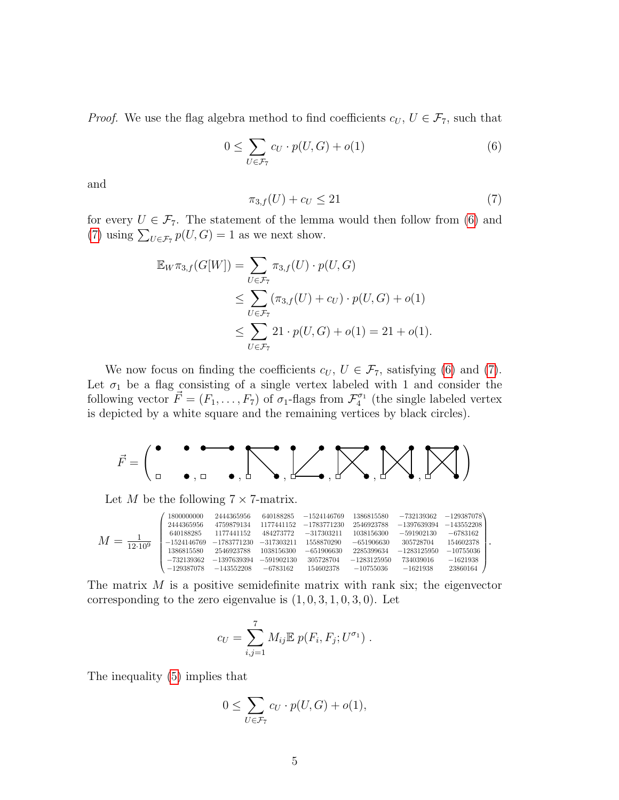*Proof.* We use the flag algebra method to find coefficients  $c_U, U \in \mathcal{F}_7$ , such that

<span id="page-4-0"></span>
$$
0 \le \sum_{U \in \mathcal{F}_7} c_U \cdot p(U, G) + o(1) \tag{6}
$$

and

<span id="page-4-1"></span>
$$
\pi_{3,f}(U) + c_U \le 21\tag{7}
$$

for every  $U \in \mathcal{F}_7$ . The statement of the lemma would then follow from [\(6\)](#page-4-0) and [\(7\)](#page-4-1) using  $\sum_{U \in \mathcal{F}_7} p(U, G) = 1$  as we next show.

$$
\mathbb{E}_{W}\pi_{3,f}(G[W]) = \sum_{U \in \mathcal{F}_7} \pi_{3,f}(U) \cdot p(U, G)
$$
  
\n
$$
\leq \sum_{U \in \mathcal{F}_7} (\pi_{3,f}(U) + c_U) \cdot p(U, G) + o(1)
$$
  
\n
$$
\leq \sum_{U \in \mathcal{F}_7} 21 \cdot p(U, G) + o(1) = 21 + o(1).
$$

We now focus on finding the coefficients  $c_U, U \in \mathcal{F}_7$ , satisfying [\(6\)](#page-4-0) and [\(7\)](#page-4-1). Let  $\sigma_1$  be a flag consisting of a single vertex labeled with 1 and consider the following vector  $\vec{F} = (F_1, \ldots, F_7)$  of  $\sigma_1$ -flags from  $\mathcal{F}_4^{\sigma_1}$  (the single labeled vertex is depicted by a white square and the remaining vertices by black circles).

$$
\vec{F} = \begin{pmatrix} \bullet & \bullet & \bullet & \bullet \\ \bullet & \bullet & \bullet & \bullet \end{pmatrix}, \begin{bmatrix} \bullet & \bullet & \bullet \\ \bullet & \bullet & \bullet \end{bmatrix}, \begin{bmatrix} \bullet & \bullet & \bullet \\ \bullet & \bullet & \bullet \end{bmatrix}, \begin{bmatrix} \bullet & \bullet & \bullet \\ \bullet & \bullet & \bullet \end{bmatrix}, \begin{bmatrix} \bullet & \bullet & \bullet \\ \bullet & \bullet & \bullet \end{bmatrix}, \begin{bmatrix} \bullet & \bullet & \bullet \\ \bullet & \bullet & \bullet \end{bmatrix}, \begin{bmatrix} \bullet & \bullet & \bullet \\ \bullet & \bullet & \bullet \end{bmatrix}, \begin{bmatrix} \bullet & \bullet & \bullet \\ \bullet & \bullet & \bullet \end{bmatrix}, \begin{bmatrix} \bullet & \bullet & \bullet \\ \bullet & \bullet & \bullet \end{bmatrix}, \begin{bmatrix} \bullet & \bullet & \bullet \\ \bullet & \bullet & \bullet \end{bmatrix}, \begin{bmatrix} \bullet & \bullet & \bullet \\ \bullet & \bullet & \bullet \end{bmatrix}, \begin{bmatrix} \bullet & \bullet & \bullet \\ \bullet & \bullet & \bullet \end{bmatrix}, \begin{bmatrix} \bullet & \bullet & \bullet \\ \bullet & \bullet & \bullet \end{bmatrix}, \begin{bmatrix} \bullet & \bullet & \bullet \\ \bullet & \bullet & \bullet \end{bmatrix}, \begin{bmatrix} \bullet & \bullet & \bullet \\ \bullet & \bullet & \bullet \end{bmatrix}, \begin{bmatrix} \bullet & \bullet & \bullet \\ \bullet & \bullet & \bullet \end{bmatrix}, \begin{bmatrix} \bullet & \bullet & \bullet \\ \bullet & \bullet & \bullet \end{bmatrix}, \begin{bmatrix} \bullet & \bullet & \bullet \\ \bullet & \bullet & \bullet \end{bmatrix}, \begin{bmatrix} \bullet & \bullet & \bullet \\ \bullet & \bullet & \bullet \end{bmatrix}, \begin{bmatrix} \bullet & \bullet & \bullet \\ \bullet & \bullet & \bullet \end{bmatrix}, \begin{bmatrix} \bullet & \bullet & \bullet \\ \bullet & \bullet & \bullet \end{bmatrix}, \begin{bmatrix} \bullet & \bullet & \bullet \\ \bullet & \bullet & \bullet \end{bmatrix}, \begin{bmatrix} \bullet & \bullet & \bullet \\ \bullet & \bullet & \bullet \end{bmatrix}, \begin{bmatrix} \bullet & \bullet & \bullet \\ \bullet & \bullet & \bullet \end{bmatrix}, \begin{bmatrix} \bullet & \bullet & \bullet \\ \bullet & \bullet & \bullet \end{bmatrix}, \begin{bmatrix} \bullet & \bullet & \bullet \\ \bullet & \bullet & \bullet
$$

Let M be the following  $7 \times 7$ -matrix.

$$
M=\underset{12\cdot 10^9}{\underbrace{1}} \begin{pmatrix} 180000000 & 2444365956 & 640188285 & -1524146769 & 1386815580 & -732139362 & -129387078 \\ 2444365956 & 4759879134 & 1177441152 & -1783771230 & 2546923788 & -1397639394 & -143552208 \\ 640188285 & 1177441152 & 484273772 & -317303211 & 1038156300 & -591902130 & -6783162 \\ -1524146769 & -1783771230 & -317303211 & 1558870290 & -651906630 & 305728704 & 154602378 \\ 1386815580 & 2546923788 & 1038156300 & -651906630 & 2285399634 & -1283125950 & -10755036 \\ -732139362 & -1397639394 & -591902130 & 305728704 & -1283125950 & 734039016 & -1621938 \\ -129387078 & -143552208 & -6783162 & 154602378 & -10755036 & -1621938 & 23860164 \end{pmatrix}.
$$

The matrix  $M$  is a positive semidefinite matrix with rank six; the eigenvector corresponding to the zero eigenvalue is  $(1, 0, 3, 1, 0, 3, 0)$ . Let

$$
c_U = \sum_{i,j=1}^7 M_{ij} \mathbb{E} p(F_i, F_j; U^{\sigma_1}).
$$

The inequality [\(5\)](#page-3-2) implies that

$$
0 \le \sum_{U \in \mathcal{F}_7} c_U \cdot p(U, G) + o(1),
$$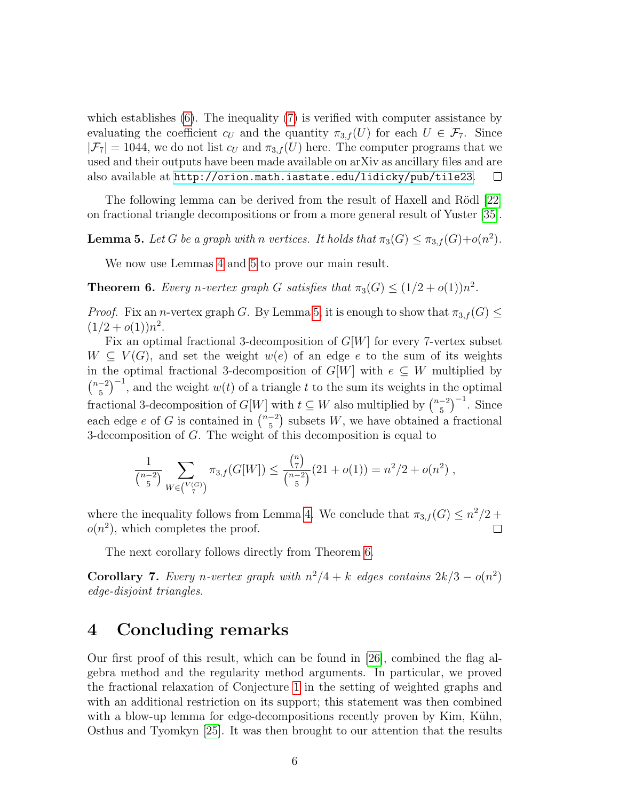which establishes [\(6\)](#page-4-0). The inequality [\(7\)](#page-4-1) is verified with computer assistance by evaluating the coefficient  $c_U$  and the quantity  $\pi_{3,f}(U)$  for each  $U \in \mathcal{F}_7$ . Since  $|\mathcal{F}_7| = 1044$ , we do not list  $c_U$  and  $\pi_{3,f}(U)$  here. The computer programs that we used and their outputs have been made available on arXiv as ancillary files and are also available at <http://orion.math.iastate.edu/lidicky/pub/tile23>.  $\Box$ 

The following lemma can be derived from the result of Haxell and Rödl [\[22\]](#page-8-11) on fractional triangle decompositions or from a more general result of Yuster [\[35\]](#page-9-1).

<span id="page-5-1"></span>**Lemma 5.** Let G be a graph with n vertices. It holds that  $\pi_3(G) \leq \pi_{3,f}(G) + o(n^2)$ .

We now use Lemmas [4](#page-3-3) and [5](#page-5-1) to prove our main result.

<span id="page-5-2"></span>**Theorem 6.** Every n-vertex graph G satisfies that  $\pi_3(G) \leq (1/2 + o(1))n^2$ .

*Proof.* Fix an n-vertex graph G. By Lemma [5,](#page-5-1) it is enough to show that  $\pi_{3,f}(G) \leq$  $(1/2+o(1))n^2$ .

Fix an optimal fractional 3-decomposition of  $G[W]$  for every 7-vertex subset  $W \subseteq V(G)$ , and set the weight  $w(e)$  of an edge e to the sum of its weights in the optimal fractional 3-decomposition of  $G[W]$  with  $e \subseteq W$  multiplied by  $\binom{n-2}{5}$  $\left(\frac{-2}{5}\right)^{-1}$ , and the weight  $w(t)$  of a triangle t to the sum its weights in the optimal fractional 3-decomposition of  $G[W]$  with  $t \subseteq W$  also multiplied by  $\binom{n-2}{5}$  $\binom{-2}{5}^{-1}$ . Since each edge e of G is contained in  $\binom{n-2}{5}$  $\binom{-2}{5}$  subsets W, we have obtained a fractional 3-decomposition of G. The weight of this decomposition is equal to

$$
\frac{1}{\binom{n-2}{5}} \sum_{W \in \binom{V(G)}{7}} \pi_{3,f}(G[W]) \le \frac{\binom{n}{7}}{\binom{n-2}{5}} (21 + o(1)) = n^2/2 + o(n^2) ,
$$

where the inequality follows from Lemma [4.](#page-3-3) We conclude that  $\pi_{3,f}(G) \leq n^2/2$  +  $o(n^2)$ , which completes the proof.

The next corollary follows directly from Theorem [6.](#page-5-2)

<span id="page-5-0"></span>**Corollary 7.** Every n-vertex graph with  $n^2/4 + k$  edges contains  $2k/3 - o(n^2)$ edge-disjoint triangles.

## 4 Concluding remarks

Our first proof of this result, which can be found in [\[26\]](#page-8-12), combined the flag algebra method and the regularity method arguments. In particular, we proved the fractional relaxation of Conjecture [1](#page-1-2) in the setting of weighted graphs and with an additional restriction on its support; this statement was then combined with a blow-up lemma for edge-decompositions recently proven by Kim, Kühn, Osthus and Tyomkyn [\[25\]](#page-8-13). It was then brought to our attention that the results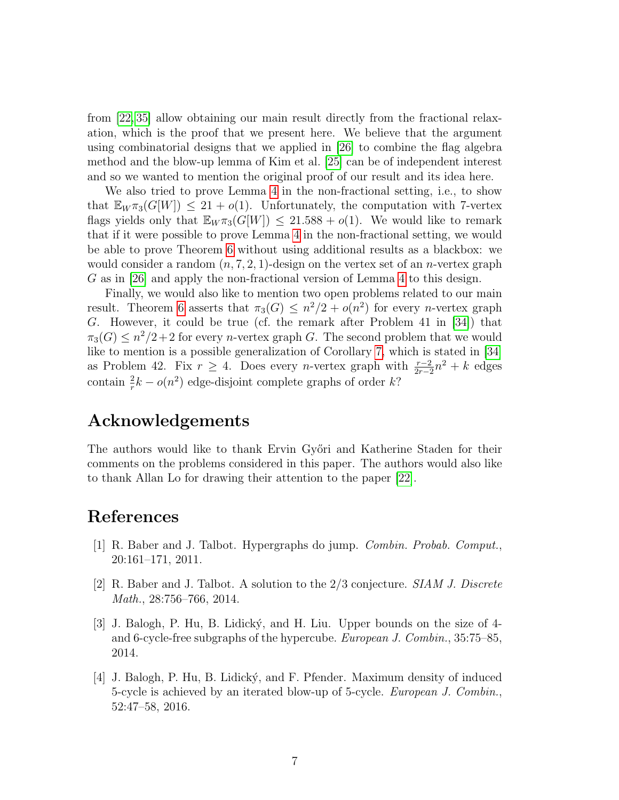from [\[22,](#page-8-11) [35\]](#page-9-1) allow obtaining our main result directly from the fractional relaxation, which is the proof that we present here. We believe that the argument using combinatorial designs that we applied in [\[26\]](#page-8-12) to combine the flag algebra method and the blow-up lemma of Kim et al. [\[25\]](#page-8-13) can be of independent interest and so we wanted to mention the original proof of our result and its idea here.

We also tried to prove Lemma [4](#page-3-3) in the non-fractional setting, i.e., to show that  $\mathbb{E}_{W} \pi_3(G[W]) \leq 21 + o(1)$ . Unfortunately, the computation with 7-vertex flags yields only that  $\mathbb{E}_{W} \pi_3(G[W]) \leq 21.588 + o(1)$ . We would like to remark that if it were possible to prove Lemma [4](#page-3-3) in the non-fractional setting, we would be able to prove Theorem [6](#page-5-2) without using additional results as a blackbox: we would consider a random  $(n, 7, 2, 1)$ -design on the vertex set of an *n*-vertex graph G as in [\[26\]](#page-8-12) and apply the non-fractional version of Lemma [4](#page-3-3) to this design.

Finally, we would also like to mention two open problems related to our main result. Theorem [6](#page-5-2) asserts that  $\pi_3(G) \leq n^2/2 + o(n^2)$  for every *n*-vertex graph G. However, it could be true (cf. the remark after Problem 41 in [\[34\]](#page-9-0)) that  $\pi_3(G) \leq n^2/2+2$  for every *n*-vertex graph G. The second problem that we would like to mention is a possible generalization of Corollary [7,](#page-5-0) which is stated in [\[34\]](#page-9-0) as Problem 42. Fix  $r \geq 4$ . Does every *n*-vertex graph with  $\frac{r-2}{2r-2}n^2 + k$  edges contain  $\frac{2}{r}k - o(n^2)$  edge-disjoint complete graphs of order k?

## Acknowledgements

The authors would like to thank Ervin Győri and Katherine Staden for their comments on the problems considered in this paper. The authors would also like to thank Allan Lo for drawing their attention to the paper [\[22\]](#page-8-11).

## References

- <span id="page-6-0"></span>[1] R. Baber and J. Talbot. Hypergraphs do jump. Combin. Probab. Comput., 20:161–171, 2011.
- [2] R. Baber and J. Talbot. A solution to the 2/3 conjecture. SIAM J. Discrete Math., 28:756–766, 2014.
- [3] J. Balogh, P. Hu, B. Lidick´y, and H. Liu. Upper bounds on the size of 4 and 6-cycle-free subgraphs of the hypercube. European J. Combin., 35:75–85, 2014.
- [4] J. Balogh, P. Hu, B. Lidický, and F. Pfender. Maximum density of induced 5-cycle is achieved by an iterated blow-up of 5-cycle. European J. Combin., 52:47–58, 2016.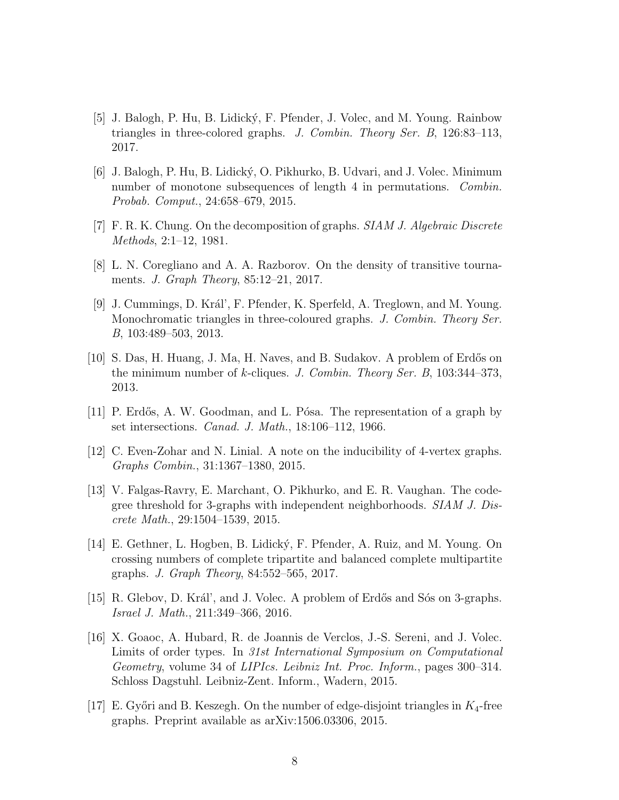- [5] J. Balogh, P. Hu, B. Lidick´y, F. Pfender, J. Volec, and M. Young. Rainbow triangles in three-colored graphs. J. Combin. Theory Ser. B, 126:83–113, 2017.
- <span id="page-7-3"></span>[6] J. Balogh, P. Hu, B. Lidick´y, O. Pikhurko, B. Udvari, and J. Volec. Minimum number of monotone subsequences of length 4 in permutations. Combin. Probab. Comput., 24:658–679, 2015.
- <span id="page-7-1"></span>[7] F. R. K. Chung. On the decomposition of graphs. SIAM J. Algebraic Discrete Methods, 2:1–12, 1981.
- <span id="page-7-4"></span>[8] L. N. Coregliano and A. A. Razborov. On the density of transitive tournaments. J. Graph Theory, 85:12–21, 2017.
- [9] J. Cummings, D. Král', F. Pfender, K. Sperfeld, A. Treglown, and M. Young. Monochromatic triangles in three-coloured graphs. J. Combin. Theory Ser. B, 103:489–503, 2013.
- <span id="page-7-5"></span>[10] S. Das, H. Huang, J. Ma, H. Naves, and B. Sudakov. A problem of Erd˝os on the minimum number of k-cliques. J. Combin. Theory Ser. B, 103:344–373, 2013.
- <span id="page-7-0"></span>[11] P. Erdős, A. W. Goodman, and L. Pósa. The representation of a graph by set intersections. Canad. J. Math., 18:106–112, 1966.
- <span id="page-7-6"></span>[12] C. Even-Zohar and N. Linial. A note on the inducibility of 4-vertex graphs. Graphs Combin., 31:1367–1380, 2015.
- [13] V. Falgas-Ravry, E. Marchant, O. Pikhurko, and E. R. Vaughan. The codegree threshold for 3-graphs with independent neighborhoods. SIAM J. Discrete Math., 29:1504–1539, 2015.
- [14] E. Gethner, L. Hogben, B. Lidický, F. Pfender, A. Ruiz, and M. Young. On crossing numbers of complete tripartite and balanced complete multipartite graphs. J. Graph Theory, 84:552–565, 2017.
- [15] R. Glebov, D. Král', and J. Volec. A problem of Erdős and Sós on 3-graphs. Israel J. Math., 211:349–366, 2016.
- <span id="page-7-7"></span>[16] X. Goaoc, A. Hubard, R. de Joannis de Verclos, J.-S. Sereni, and J. Volec. Limits of order types. In 31st International Symposium on Computational Geometry, volume 34 of LIPIcs. Leibniz Int. Proc. Inform., pages 300–314. Schloss Dagstuhl. Leibniz-Zent. Inform., Wadern, 2015.
- <span id="page-7-2"></span>[17] E. Győri and B. Keszegh. On the number of edge-disjoint triangles in  $K_4$ -free graphs. Preprint available as arXiv:1506.03306, 2015.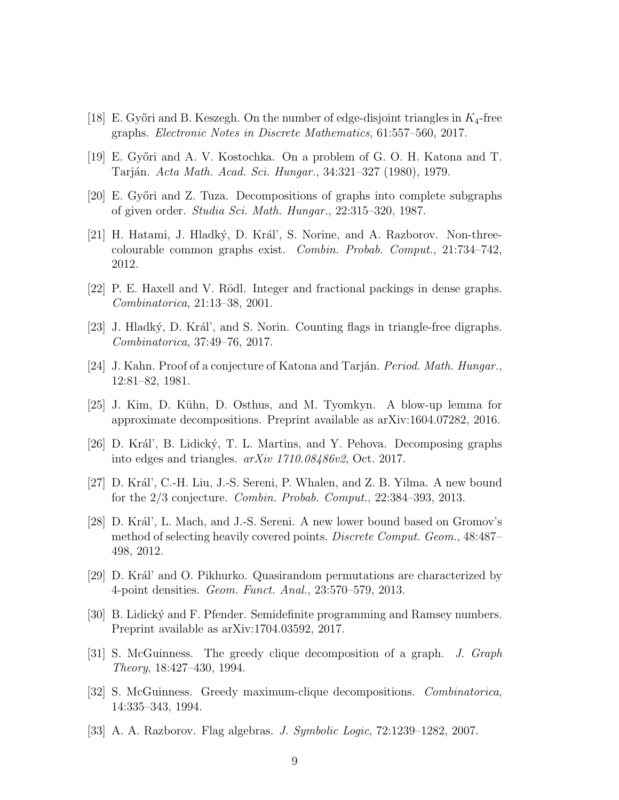- <span id="page-8-5"></span>[18] E. Győri and B. Keszegh. On the number of edge-disjoint triangles in  $K_4$ -free graphs. Electronic Notes in Discrete Mathematics, 61:557–560, 2017.
- <span id="page-8-0"></span>[19] E. Győri and A. V. Kostochka. On a problem of G. O. H. Katona and T. Tarján. *Acta Math. Acad. Sci. Hungar.*, 34:321–327 (1980), 1979.
- <span id="page-8-4"></span>[20] E. Győri and Z. Tuza. Decompositions of graphs into complete subgraphs of given order. Studia Sci. Math. Hungar., 22:315–320, 1987.
- <span id="page-8-7"></span>[21] H. Hatami, J. Hladký, D. Král', S. Norine, and A. Razborov. Non-threecolourable common graphs exist. Combin. Probab. Comput., 21:734–742, 2012.
- <span id="page-8-11"></span>[22] P. E. Haxell and V. Rödl. Integer and fractional packings in dense graphs. Combinatorica, 21:13–38, 2001.
- <span id="page-8-8"></span>[23] J. Hladký, D. Král', and S. Norin. Counting flags in triangle-free digraphs. Combinatorica, 37:49–76, 2017.
- <span id="page-8-1"></span>[24] J. Kahn. Proof of a conjecture of Katona and Tarján. *Period. Math. Hungar.*, 12:81–82, 1981.
- <span id="page-8-13"></span>[25] J. Kim, D. Kühn, D. Osthus, and M. Tyomkyn. A blow-up lemma for approximate decompositions. Preprint available as arXiv:1604.07282, 2016.
- <span id="page-8-12"></span>[26] D. Král', B. Lidický, T. L. Martins, and Y. Pehova. Decomposing graphs into edges and triangles. arXiv 1710.08486v2, Oct. 2017.
- <span id="page-8-9"></span>[27] D. Král', C.-H. Liu, J.-S. Sereni, P. Whalen, and Z. B. Yilma. A new bound for the 2/3 conjecture. Combin. Probab. Comput., 22:384–393, 2013.
- [28] D. Král', L. Mach, and J.-S. Sereni. A new lower bound based on Gromov's method of selecting heavily covered points. *Discrete Comput. Geom.*, 48:487– 498, 2012.
- $[29]$  D. Král' and O. Pikhurko. Quasirandom permutations are characterized by 4-point densities. Geom. Funct. Anal., 23:570–579, 2013.
- <span id="page-8-10"></span>[30] B. Lidický and F. Pfender. Semidefinite programming and Ramsey numbers. Preprint available as arXiv:1704.03592, 2017.
- <span id="page-8-2"></span>[31] S. McGuinness. The greedy clique decomposition of a graph. J. Graph Theory, 18:427–430, 1994.
- <span id="page-8-3"></span>[32] S. McGuinness. Greedy maximum-clique decompositions. Combinatorica, 14:335–343, 1994.
- <span id="page-8-6"></span>[33] A. A. Razborov. Flag algebras. J. Symbolic Logic, 72:1239–1282, 2007.